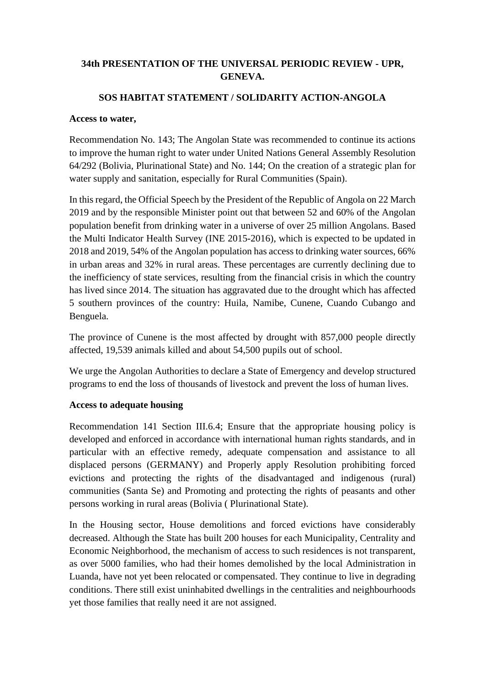# **34th PRESENTATION OF THE UNIVERSAL PERIODIC REVIEW - UPR, GENEVA.**

## **SOS HABITAT STATEMENT / SOLIDARITY ACTION-ANGOLA**

#### **Access to water,**

Recommendation No. 143; The Angolan State was recommended to continue its actions to improve the human right to water under United Nations General Assembly Resolution 64/292 (Bolivia, Plurinational State) and No. 144; On the creation of a strategic plan for water supply and sanitation, especially for Rural Communities (Spain).

In this regard, the Official Speech by the President of the Republic of Angola on 22 March 2019 and by the responsible Minister point out that between 52 and 60% of the Angolan population benefit from drinking water in a universe of over 25 million Angolans. Based the Multi Indicator Health Survey (INE 2015-2016), which is expected to be updated in 2018 and 2019, 54% of the Angolan population has access to drinking water sources, 66% in urban areas and 32% in rural areas. These percentages are currently declining due to the inefficiency of state services, resulting from the financial crisis in which the country has lived since 2014. The situation has aggravated due to the drought which has affected 5 southern provinces of the country: Huila, Namibe, Cunene, Cuando Cubango and Benguela.

The province of Cunene is the most affected by drought with 857,000 people directly affected, 19,539 animals killed and about 54,500 pupils out of school.

We urge the Angolan Authorities to declare a State of Emergency and develop structured programs to end the loss of thousands of livestock and prevent the loss of human lives.

## **Access to adequate housing**

Recommendation 141 Section III.6.4; Ensure that the appropriate housing policy is developed and enforced in accordance with international human rights standards, and in particular with an effective remedy, adequate compensation and assistance to all displaced persons (GERMANY) and Properly apply Resolution prohibiting forced evictions and protecting the rights of the disadvantaged and indigenous (rural) communities (Santa Se) and Promoting and protecting the rights of peasants and other persons working in rural areas (Bolivia ( Plurinational State).

In the Housing sector, House demolitions and forced evictions have considerably decreased. Although the State has built 200 houses for each Municipality, Centrality and Economic Neighborhood, the mechanism of access to such residences is not transparent, as over 5000 families, who had their homes demolished by the local Administration in Luanda, have not yet been relocated or compensated. They continue to live in degrading conditions. There still exist uninhabited dwellings in the centralities and neighbourhoods yet those families that really need it are not assigned.